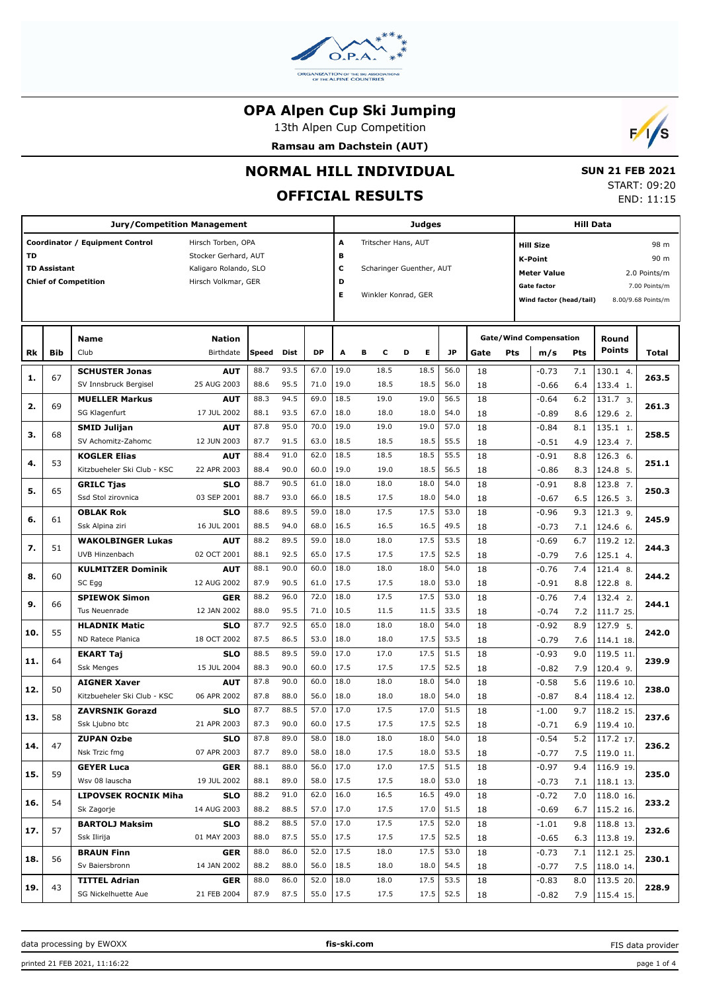

13th Alpen Cup Competition

**Ramsau am Dachstein (AUT)**



### **NORMAL HILL INDIVIDUAL**

# **OFFICIAL RESULTS**

 **SUN 21 FEB 2021** START: 09:20 END: 11:15

|     |                     | <b>Jury/Competition Management</b>          |                           |              |                     |               | <b>Judges</b> |                          | Hill Data                |              |          |                                    |                               |            |                            |                    |
|-----|---------------------|---------------------------------------------|---------------------------|--------------|---------------------|---------------|---------------|--------------------------|--------------------------|--------------|----------|------------------------------------|-------------------------------|------------|----------------------------|--------------------|
|     |                     | Coordinator / Equipment Control             | A                         |              | Tritscher Hans, AUT |               |               | 98 m<br><b>Hill Size</b> |                          |              |          |                                    |                               |            |                            |                    |
| TD  |                     |                                             | Stocker Gerhard, AUT      |              |                     |               | в             |                          |                          |              |          | 90 m<br>K-Point                    |                               |            |                            |                    |
|     | <b>TD Assistant</b> |                                             | Kaligaro Rolando, SLO     |              |                     |               | C             |                          | Scharinger Guenther, AUT |              |          | <b>Meter Value</b><br>2.0 Points/m |                               |            |                            |                    |
|     |                     | <b>Chief of Competition</b>                 | Hirsch Volkmar, GER       |              |                     |               | D             |                          |                          |              |          |                                    | <b>Gate factor</b>            |            |                            | 7.00 Points/m      |
|     |                     |                                             |                           |              |                     |               | Е             |                          | Winkler Konrad, GER      |              |          |                                    | Wind factor (head/tail)       |            |                            | 8.00/9.68 Points/m |
|     |                     |                                             |                           |              |                     |               |               |                          |                          |              |          |                                    |                               |            |                            |                    |
|     |                     |                                             |                           |              |                     |               |               |                          |                          |              |          |                                    |                               |            |                            |                    |
|     |                     | <b>Name</b>                                 | <b>Nation</b>             |              |                     |               |               |                          |                          |              |          |                                    | <b>Gate/Wind Compensation</b> |            | Round                      |                    |
| Rk  | Bib                 | Club                                        | Birthdate                 | Speed        | Dist                | <b>DP</b>     | A             | в<br>c                   | Е<br>D                   | JP           | Gate     | Pts                                | m/s                           | <b>Pts</b> | <b>Points</b>              | Total              |
| 1.  | 67                  | <b>SCHUSTER Jonas</b>                       | <b>AUT</b>                | 88.7         | 93.5                | 67.0          | 19.0          | 18.5                     | 18.5                     | 56.0         | 18       |                                    | $-0.73$                       | 7.1        | 130.1 4.                   | 263.5              |
|     |                     | SV Innsbruck Bergisel                       | 25 AUG 2003               | 88.6         | 95.5                | 71.0          | 19.0          | 18.5                     | 18.5                     | 56.0         | 18       |                                    | $-0.66$                       | 6.4        | 133.4 1.                   |                    |
| 2.  | 69                  | <b>MUELLER Markus</b>                       | <b>AUT</b>                | 88.3         | 94.5                | 69.0          | 18.5          | 19.0                     | 19.0                     | 56.5         | 18       |                                    | $-0.64$                       | 6.2        | 131.7 3.                   | 261.3              |
|     |                     | SG Klagenfurt                               | 17 JUL 2002               | 88.1         | 93.5                | 67.0          | 18.0          | 18.0                     | 18.0                     | 54.0         | 18       |                                    | $-0.89$                       | 8.6        | 129.6 2.                   |                    |
| 3.  | 68                  | <b>SMID Julijan</b>                         | AUT                       | 87.8         | 95.0                | 70.0          | 19.0          | 19.0                     | 19.0                     | 57.0         | 18       |                                    | $-0.84$                       | 8.1        | 135.1 1.                   | 258.5              |
|     |                     | SV Achomitz-Zahomc                          | 12 JUN 2003               | 87.7         | 91.5                | 63.0          | 18.5          | 18.5                     | 18.5                     | 55.5         | 18       |                                    | $-0.51$                       | 4.9        | 123.4 7.                   |                    |
| 4.  | 53                  | <b>KOGLER Elias</b>                         | <b>AUT</b>                | 88.4         | 91.0                | 62.0          | 18.5          | 18.5                     | 18.5                     | 55.5         | 18       |                                    | -0.91                         | 8.8        | 126.3 6.                   | 251.1              |
|     |                     | Kitzbueheler Ski Club - KSC                 | 22 APR 2003               | 88.4         | 90.0                | 60.0          | 19.0          | 19.0                     | 18.5                     | 56.5         | 18       |                                    | $-0.86$                       | 8.3        | 124.8 5.                   |                    |
| 5.  | 65                  | <b>GRILC Tjas</b>                           | SLO                       | 88.7         | 90.5                | 61.0          | 18.0          | 18.0                     | 18.0                     | 54.0         | 18       |                                    | -0.91                         | 8.8        | 123.8 7.                   | 250.3              |
|     |                     | Ssd Stol zirovnica                          | 03 SEP 2001               | 88.7         | 93.0                | 66.0          | 18.5          | 17.5                     | 18.0                     | 54.0         | 18       |                                    | $-0.67$                       | 6.5        | 126.5 3.                   |                    |
| 6.  | 61                  | <b>OBLAK Rok</b>                            | <b>SLO</b>                | 88.6         | 89.5                | 59.0          | 18.0          | 17.5                     | 17.5                     | 53.0         | 18       |                                    | -0.96                         | 9.3        | 121.3 9.                   | 245.9              |
|     |                     | Ssk Alpina ziri                             | 16 JUL 2001               | 88.5         | 94.0                | 68.0          | 16.5          | 16.5                     | 16.5                     | 49.5         | 18       |                                    | $-0.73$                       | 7.1        | 124.6 6.                   |                    |
| 7.  | 51                  | <b>WAKOLBINGER Lukas</b>                    | <b>AUT</b>                | 88.2         | 89.5                | 59.0          | 18.0          | 18.0                     | 17.5                     | 53.5         | 18       |                                    | -0.69                         | 6.7        | 119.2 12                   | 244.3              |
|     |                     | UVB Hinzenbach                              | 02 OCT 2001               | 88.1         | 92.5                | 65.0          | 17.5          | 17.5                     | 17.5                     | 52.5         | 18       |                                    | $-0.79$                       | 7.6        | 125.1 4.                   |                    |
| 8.  | 60                  | <b>KULMITZER Dominik</b>                    | <b>AUT</b>                | 88.1         | 90.0                | 60.0          | 18.0          | 18.0                     | 18.0                     | 54.0         | 18       |                                    | $-0.76$                       | 7.4        | 121.4 8.                   | 244.2              |
|     |                     | SC Egg                                      | 12 AUG 2002               | 87.9         | 90.5                | 61.0          | 17.5          | 17.5                     | 18.0                     | 53.0         | 18       |                                    | $-0.91$                       | 8.8        | 122.8 8.                   |                    |
| 9.  | 66                  | <b>SPIEWOK Simon</b>                        | <b>GER</b>                | 88.2         | 96.0                | 72.0          | 18.0          | 17.5                     | 17.5                     | 53.0         | 18       |                                    | $-0.76$                       | 7.4        | 132.4 2.                   | 244.1              |
|     |                     | Tus Neuenrade                               | 12 JAN 2002               | 88.0         | 95.5                | 71.0          | 10.5          | 11.5                     | 11.5                     | 33.5         | 18       |                                    | $-0.74$                       | 7.2        | 111.7 25.                  |                    |
| 10. | 55                  | <b>HLADNIK Matic</b>                        | <b>SLO</b>                | 87.7         | 92.5                | 65.0          | 18.0          | 18.0                     | 18.0                     | 54.0         | 18       |                                    | -0.92                         | 8.9        | 127.9 5.                   | 242.0              |
|     |                     | ND Ratece Planica                           | 18 OCT 2002               | 87.5         | 86.5                | 53.0          | 18.0          | 18.0                     | 17.5                     | 53.5         | 18       |                                    | $-0.79$                       | 7.6        | 114.1 18.                  |                    |
| 11. | 64                  | <b>EKART Taj</b>                            | <b>SLO</b>                | 88.5         | 89.5                | 59.0          | 17.0          | 17.0                     | 17.5                     | 51.5         | 18       |                                    | -0.93                         | 9.0        | 119.5 11                   | 239.9              |
|     |                     | <b>Ssk Menges</b>                           | 15 JUL 2004               | 88.3         | 90.0                | 60.0          | 17.5          | 17.5                     | 17.5                     | 52.5         | 18       |                                    | $-0.82$                       | 7.9        | 120.4 9.                   |                    |
| 12. | 50                  | <b>AIGNER Xaver</b>                         | <b>AUT</b>                | 87.8         | 90.0                | 60.0          | 18.0          | 18.0                     | 18.0                     | 54.0         | 18       |                                    | $-0.58$                       | 5.6        | 119.6 10.                  | 238.0              |
|     |                     | Kitzbueheler Ski Club - KSC                 | 06 APR 2002               | 87.8         | 88.0                | 56.0          | 18.0          | 18.0                     | 18.0                     | 54.0         | 18       |                                    | $-0.87$                       | 8.4        | 118.4 12.                  |                    |
| 13. | 58                  | <b>ZAVRSNIK Gorazd</b>                      | <b>SLO</b>                | 87.7         | 88.5                | 57.0          | 17.0          | 17.5                     | 17.0                     | 51.5         | 18       |                                    | $-1.00$                       | 9.7        | 118.2 15.                  | 237.6              |
|     |                     | Ssk Ljubno btc                              | 21 APR 2003               | 87.3         | 90.0                | 60.0          | 17.5          | 17.5                     | 17.5                     | 52.5         | 18       |                                    | $-0.71$                       | 6.9        | 119.4 10.                  |                    |
| 14. | 47                  | <b>ZUPAN Ozbe</b>                           | SLO                       | 87.8         | 89.0                | 58.0          | 18.0          | 18.0                     | 18.0                     | 54.0         | 18       |                                    | $-0.54$                       | 5.2        | 117.2 17.                  | 236.2              |
|     |                     | Nsk Trzic fmg                               | 07 APR 2003               | 87.7         | 89.0                | 58.0   18.0   |               | 17.5                     | 18.0                     | 53.5         | 18       |                                    | $-0.77$                       |            | 7.5 119.0 11.              |                    |
| 15. | 59                  | <b>GEYER Luca</b>                           | <b>GER</b>                | 88.1         | 88.0                | 56.0          | 17.0          | 17.0                     | 17.5                     | 51.5         | 18       |                                    | $-0.97$                       | 9.4        | $116.9$ 19.                | 235.0              |
|     |                     | Wsv 08 lauscha                              | 19 JUL 2002               | 88.1         | 89.0                | 58.0          | 17.5          | 17.5                     | 18.0                     | 53.0         | 18       |                                    | $-0.73$                       |            | $7.1$   118.1 13.          |                    |
| 16. | 54                  | <b>LIPOVSEK ROCNIK Miha</b>                 | <b>SLO</b>                | 88.2         | 91.0                | 62.0          | 16.0          | 16.5                     | 16.5                     | 49.0         | 18       |                                    | $-0.72$                       | 7.0        | 118.0 16.                  | 233.2              |
|     |                     | Sk Zagorje                                  | 14 AUG 2003               | 88.2         | 88.5                | 57.0          | 17.0          | 17.5                     | 17.0                     | 51.5         | 18       |                                    | $-0.69$                       | 6.7        | 115.2 16.                  |                    |
| 17. | 57                  | <b>BARTOLJ Maksim</b>                       | <b>SLO</b>                | 88.2         | 88.5<br>87.5        | 57.0          | 17.0          | 17.5                     | 17.5                     | 52.0         | 18       |                                    | $-1.01$                       | 9.8        | 118.8 13.                  | 232.6              |
|     |                     | Ssk Ilirija                                 | 01 MAY 2003               | 88.0         |                     | 55.0          | 17.5          | 17.5                     | 17.5                     | 52.5         | 18       |                                    | $-0.65$                       |            | 6.3   113.8 19.            |                    |
| 18. | 56                  | <b>BRAUN Finn</b><br>Sv Baiersbronn         | <b>GER</b><br>14 JAN 2002 | 88.0<br>88.2 | 86.0<br>88.0        | 52.0<br>56.0  | 17.5<br>18.5  | 18.0<br>18.0             | 17.5<br>18.0             | 53.0<br>54.5 | 18       |                                    | $-0.73$                       | 7.1        | 112.125                    | 230.1              |
|     |                     |                                             |                           | 88.0         | 86.0                | $52.0$   18.0 |               | 18.0                     | 17.5                     | 53.5         | 18       |                                    | $-0.77$                       |            | 7.5 118.0 14.              |                    |
| 19. | 43                  | <b>TITTEL Adrian</b><br>SG Nickelhuette Aue | <b>GER</b><br>21 FEB 2004 | 87.9         | 87.5                | $55.0$   17.5 |               | 17.5                     | 17.5                     | 52.5         | 18<br>18 |                                    | $-0.83$<br>$-0.82$            | 8.0        | 113.520<br>7.9   115.4 15. | 228.9              |
|     |                     |                                             |                           |              |                     |               |               |                          |                          |              |          |                                    |                               |            |                            |                    |

data processing by EWOXX **fis-ski.com**

FIS data provider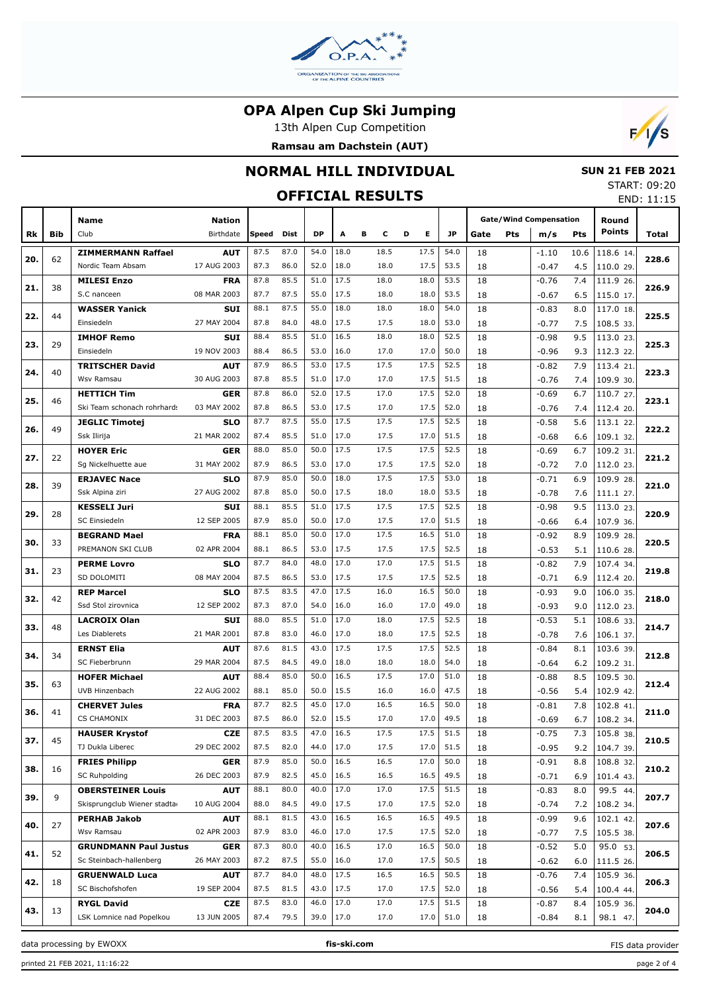

13th Alpen Cup Competition





# **NORMAL HILL INDIVIDUAL**

# **OFFICIAL RESULTS**

 **SUN 21 FEB 2021** START: 09:20

|     |            | <b>OFFICIAL RESULTS</b>           |                           |              |              |              |              |              |   |              |              |          |            |                               |            |                        | END: 11:15 |
|-----|------------|-----------------------------------|---------------------------|--------------|--------------|--------------|--------------|--------------|---|--------------|--------------|----------|------------|-------------------------------|------------|------------------------|------------|
|     |            | Name                              | <b>Nation</b>             |              |              |              |              |              |   |              |              |          |            | <b>Gate/Wind Compensation</b> |            | Round                  |            |
| Rk  | <b>Bib</b> | Club                              | Birthdate                 | Speed        | Dist         | <b>DP</b>    | A            | в<br>c       | D | Е            | <b>JP</b>    | Gate     | <b>Pts</b> | m/s                           | Pts        | <b>Points</b>          | Total      |
|     |            | <b>ZIMMERMANN Raffael</b>         | <b>AUT</b>                | 87.5         | 87.0         | 54.0         | 18.0         | 18.5         |   | 17.5         | 54.0         | 18       |            | $-1.10$                       | 10.6       | 118.6 14.              |            |
| 20. | 62         | Nordic Team Absam                 | 17 AUG 2003               | 87.3         | 86.0         | 52.0         | 18.0         | 18.0         |   | 17.5         | 53.5         | 18       |            | $-0.47$                       | 4.5        | 110.0 29.              | 228.6      |
|     |            | <b>MILESI Enzo</b>                | <b>FRA</b>                | 87.8         | 85.5         | 51.0         | 17.5         | 18.0         |   | 18.0         | 53.5         | 18       |            | $-0.76$                       | 7.4        | 111.9 26.              |            |
| 21. | 38         | S.C nanceen                       | 08 MAR 2003               | 87.7         | 87.5         | 55.0         | 17.5         | 18.0         |   | 18.0         | 53.5         | 18       |            | $-0.67$                       | 6.5        | 115.0 17.              | 226.9      |
|     |            | <b>WASSER Yanick</b>              | <b>SUI</b>                | 88.1         | 87.5         | 55.0         | 18.0         | 18.0         |   | 18.0         | 54.0         | 18       |            | $-0.83$                       | 8.0        | 117.0 18.              |            |
| 22. | 44         | Einsiedeln                        | 27 MAY 2004               | 87.8         | 84.0         | 48.0         | 17.5         | 17.5         |   | 18.0         | 53.0         | 18       |            | $-0.77$                       | 7.5        | 108.5 33.              | 225.5      |
|     |            | <b>IMHOF Remo</b>                 | <b>SUI</b>                | 88.4         | 85.5         | 51.0         | 16.5         | 18.0         |   | 18.0         | 52.5         | 18       |            | $-0.98$                       | 9.5        | 113.0 23.              |            |
| 23. | 29         | Einsiedeln                        | 19 NOV 2003               | 88.4         | 86.5         | 53.0         | 16.0         | 17.0         |   | 17.0         | 50.0         | 18       |            | $-0.96$                       | 9.3        | 112.3 22.              | 225.3      |
| 24. | 40         | <b>TRITSCHER David</b>            | <b>AUT</b>                | 87.9         | 86.5         | 53.0         | 17.5         | 17.5         |   | 17.5         | 52.5         | 18       |            | $-0.82$                       | 7.9        | 113.4 21.              | 223.3      |
|     |            | Wsv Ramsau                        | 30 AUG 2003               | 87.8         | 85.5         | 51.0         | 17.0         | 17.0         |   | 17.5         | 51.5         | 18       |            | $-0.76$                       | 7.4        | 109.9 30.              |            |
| 25. | 46         | <b>HETTICH Tim</b>                | <b>GER</b>                | 87.8         | 86.0         | 52.0         | 17.5         | 17.0         |   | 17.5         | 52.0         | 18       |            | $-0.69$                       | 6.7        | 110.7 27.              | 223.1      |
|     |            | Ski Team schonach rohrhards       | 03 MAY 2002               | 87.8         | 86.5         | 53.0         | 17.5         | 17.0         |   | 17.5         | 52.0         | 18       |            | $-0.76$                       | 7.4        | 112.4 20.              |            |
| 26. | 49         | <b>JEGLIC Timotej</b>             | <b>SLO</b>                | 87.7         | 87.5         | 55.0         | 17.5         | 17.5         |   | 17.5         | 52.5         | 18       |            | $-0.58$                       | 5.6        | 113.1 22.              | 222.2      |
|     |            | Ssk Ilirija                       | 21 MAR 2002               | 87.4         | 85.5         | 51.0         | 17.0         | 17.5         |   | 17.0         | 51.5         | 18       |            | $-0.68$                       | 6.6        | 109.1 32.              |            |
| 27. | 22         | <b>HOYER Eric</b>                 | GER                       | 88.0         | 85.0         | 50.0         | 17.5         | 17.5         |   | 17.5         | 52.5         | 18       |            | $-0.69$                       | 6.7        | 109.2 31.              | 221.2      |
|     |            | Sg Nickelhuette aue               | 31 MAY 2002               | 87.9         | 86.5         | 53.0         | 17.0         | 17.5         |   | 17.5         | 52.0         | 18       |            | $-0.72$                       | 7.0        | 112.0 23.              |            |
| 28. | 39         | <b>ERJAVEC Nace</b>               | <b>SLO</b>                | 87.9         | 85.0         | 50.0         | 18.0         | 17.5         |   | 17.5         | 53.0         | 18       |            | $-0.71$                       | 6.9        | 109.9 28.              | 221.0      |
|     |            | Ssk Alpina ziri                   | 27 AUG 2002               | 87.8         | 85.0         | 50.0         | 17.5         | 18.0         |   | 18.0         | 53.5         | 18       |            | $-0.78$                       | 7.6        | 111.1 27.              |            |
| 29. | 28         | <b>KESSELI Juri</b>               | <b>SUI</b>                | 88.1         | 85.5         | 51.0         | 17.5         | 17.5         |   | 17.5         | 52.5         | 18       |            | $-0.98$                       | 9.5        | 113.0 23.              | 220.9      |
|     |            | SC Einsiedeln                     | 12 SEP 2005               | 87.9         | 85.0         | 50.0         | 17.0         | 17.5         |   | 17.0         | 51.5         | 18       |            | $-0.66$                       | 6.4        | 107.9 36.              |            |
| 30. | 33         | <b>BEGRAND Mael</b>               | <b>FRA</b>                | 88.1         | 85.0         | 50.0         | 17.0         | 17.5         |   | 16.5         | 51.0         | 18       |            | $-0.92$                       | 8.9        | 109.9 28.              | 220.5      |
|     |            | PREMANON SKI CLUB                 | 02 APR 2004               | 88.1         | 86.5         | 53.0<br>48.0 | 17.5         | 17.5<br>17.0 |   | 17.5         | 52.5         | 18       |            | $-0.53$                       | 5.1        | 110.6 28.              |            |
| 31. | 23         | <b>PERME Lovro</b><br>SD DOLOMITI | <b>SLO</b><br>08 MAY 2004 | 87.7<br>87.5 | 84.0<br>86.5 | 53.0         | 17.0<br>17.5 | 17.5         |   | 17.5<br>17.5 | 51.5<br>52.5 | 18       |            | $-0.82$                       | 7.9        | 107.4 34.              | 219.8      |
|     |            | <b>REP Marcel</b>                 | <b>SLO</b>                | 87.5         | 83.5         | 47.0         | 17.5         | 16.0         |   | 16.5         | 50.0         | 18<br>18 |            | $-0.71$<br>$-0.93$            | 6.9<br>9.0 | 112.4 20.<br>106.0 35. |            |
| 32. | 42         | Ssd Stol zirovnica                | 12 SEP 2002               | 87.3         | 87.0         | 54.0         | 16.0         | 16.0         |   | 17.0         | 49.0         | 18       |            | $-0.93$                       | 9.0        | 112.0 23.              | 218.0      |
|     |            | <b>LACROIX Olan</b>               | <b>SUI</b>                | 88.0         | 85.5         | 51.0         | 17.0         | 18.0         |   | 17.5         | 52.5         | 18       |            | $-0.53$                       | 5.1        | 108.6 33.              |            |
| 33. | 48         | Les Diablerets                    | 21 MAR 2001               | 87.8         | 83.0         | 46.0         | 17.0         | 18.0         |   | 17.5         | 52.5         | 18       |            | $-0.78$                       | 7.6        | 106.1 37.              | 214.7      |
|     |            | <b>ERNST Elia</b>                 | <b>AUT</b>                | 87.6         | 81.5         | 43.0         | 17.5         | 17.5         |   | 17.5         | 52.5         | 18       |            | $-0.84$                       | 8.1        | 103.6 39.              |            |
| 34. | 34         | SC Fieberbrunn                    | 29 MAR 2004               | 87.5         | 84.5         | 49.0         | 18.0         | 18.0         |   | 18.0         | 54.0         | 18       |            | $-0.64$                       | 6.2        | 109.2 31.              | 212.8      |
|     |            | <b>HOFER Michael</b>              | <b>AUT</b>                | 88.4         | 85.0         | 50.0         | 16.5         | 17.5         |   | 17.0         | 51.0         | 18       |            | $-0.88$                       | 8.5        | 109.5 30.              |            |
| 35. | 63         | UVB Hinzenbach                    | 22 AUG 2002               | 88.1         | 85.0         | 50.0         | 15.5         | 16.0         |   | 16.0         | 47.5         | 18       |            | $-0.56$                       | 5.4        | 102.9 42.              | 212.4      |
|     |            | <b>CHERVET Jules</b>              | <b>FRA</b>                | 87.7         | 82.5         | 45.0         | 17.0         | 16.5         |   | 16.5         | 50.0         | 18       |            | $-0.81$                       | 7.8        | 102.8 41               |            |
| 36. | 41         | <b>CS CHAMONIX</b>                | 31 DEC 2003               | 87.5         | 86.0         | 52.0         | 15.5         | 17.0         |   | 17.0         | 49.5         | 18       |            | $-0.69$                       | 6.7        | 108.2 34.              | 211.0      |
|     |            | <b>HAUSER Krystof</b>             | CZE                       | 87.5         | 83.5         | 47.0         | 16.5         | 17.5         |   | 17.5         | 51.5         | 18       |            | $-0.75$                       | 7.3        | 105.8 38.              |            |
| 37. | 45         | TJ Dukla Liberec                  | 29 DEC 2002               | 87.5         | 82.0         | 44.0         | 17.0         | 17.5         |   | 17.0         | 51.5         | 18       |            | $-0.95$                       | 9.2        | 104.7 39.              | 210.5      |
|     |            | <b>FRIES Philipp</b>              | <b>GER</b>                | 87.9         | 85.0         | 50.0         | 16.5         | 16.5         |   | 17.0         | 50.0         | 18       |            | $-0.91$                       | 8.8        | 108.8 32.              |            |
| 38. | 16         | SC Ruhpolding                     | 26 DEC 2003               | 87.9         | 82.5         | 45.0         | 16.5         | 16.5         |   | 16.5         | 49.5         | 18       |            | $-0.71$                       | 6.9        | 101.4 43.              | 210.2      |
|     |            | <b>OBERSTEINER Louis</b>          | <b>AUT</b>                | 88.1         | 80.0         | 40.0         | 17.0         | 17.0         |   | 17.5         | 51.5         | 18       |            | $-0.83$                       | 8.0        | 99.5 44.               |            |
| 39. | 9          | Skisprungclub Wiener stadta       | 10 AUG 2004               | 88.0         | 84.5         | 49.0         | 17.5         | 17.0         |   | 17.5         | 52.0         | 18       |            | $-0.74$                       | 7.2        | 108.2 34.              | 207.7      |
|     |            | <b>PERHAB Jakob</b>               | <b>AUT</b>                | 88.1         | 81.5         | 43.0         | 16.5         | 16.5         |   | 16.5         | 49.5         | 18       |            | $-0.99$                       | 9.6        | 102.1 42.              |            |
| 40. | 27         | Wsv Ramsau                        | 02 APR 2003               | 87.9         | 83.0         | 46.0         | 17.0         | 17.5         |   | 17.5         | 52.0         | 18       |            | $-0.77$                       | 7.5        | 105.5 38.              | 207.6      |
|     | 52         | <b>GRUNDMANN Paul Justus</b>      | <b>GER</b>                | 87.3         | 80.0         | 40.0         | 16.5         | 17.0         |   | 16.5         | 50.0         | 18       |            | $-0.52$                       | 5.0        | 95.0 53.               | 206.5      |
| 41. |            | Sc Steinbach-hallenberg           | 26 MAY 2003               | 87.2         | 87.5         | 55.0         | 16.0         | 17.0         |   | 17.5         | 50.5         | 18       |            | $-0.62$                       | 6.0        | 111.5 26.              |            |
| 42. | 18         | <b>GRUENWALD Luca</b>             | <b>AUT</b>                | 87.7         | 84.0         | 48.0         | 17.5         | 16.5         |   | 16.5         | 50.5         | 18       |            | $-0.76$                       | 7.4        | 105.9 36.              | 206.3      |
|     |            | SC Bischofshofen                  | 19 SEP 2004               | 87.5         | 81.5         | 43.0         | 17.5         | 17.0         |   | 17.5         | 52.0         | 18       |            | $-0.56$                       | 5.4        | 100.4 44.              |            |
| 43. |            | <b>RYGL David</b>                 | CZE                       | 87.5         | 83.0         | 46.0         | 17.0         | 17.0         |   | 17.5         | 51.5         | 18       |            | $-0.87$                       | 8.4        | 105.9 36.              | 204.0      |
|     | 13         | LSK Lomnice nad Popelkou          | 13 JUN 2005               | 87.4         | 79.5         | 39.0 17.0    |              | 17.0         |   | 17.0         | 51.0         | 18       |            | $-0.84$                       | 8.1        | 98.1 47.               |            |

data processing by EWOXX **fis-ski.com**

FIS data provider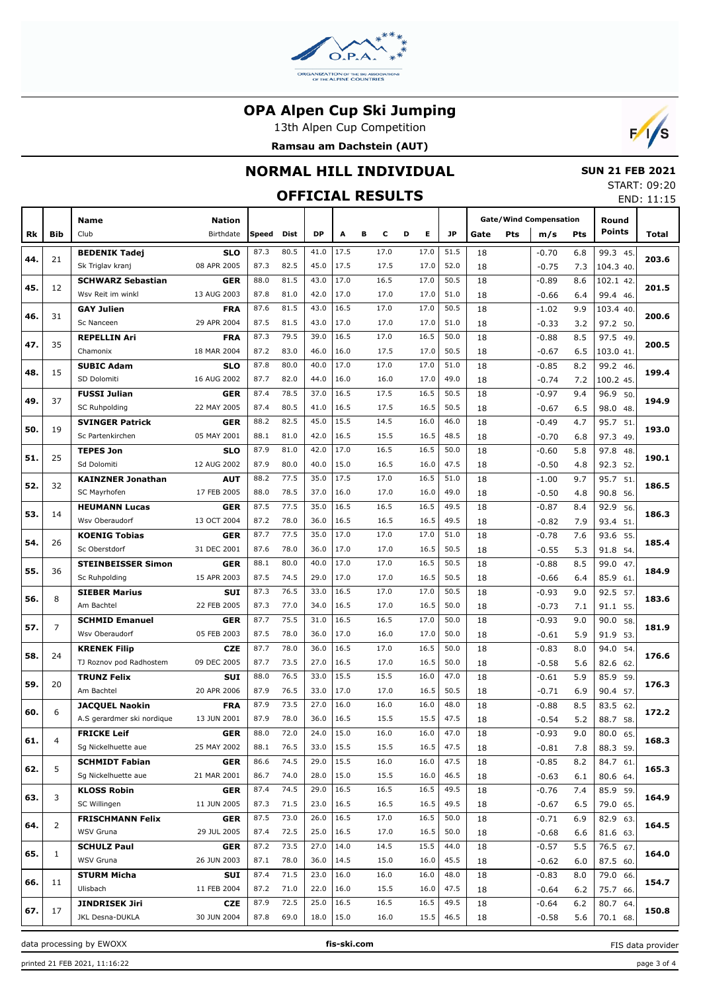

13th Alpen Cup Competition





#### **NORMAL HILL INDIVIDUAL**

# **OFFICIAL RESULTS**

 **SUN 21 FEB 2021** START: 09:20

|     |                | UFFILIAL KEJULIJ                 |                    |              |              |               |              |              |              |              |          |     |                               |            |                  | END: 11:15 |
|-----|----------------|----------------------------------|--------------------|--------------|--------------|---------------|--------------|--------------|--------------|--------------|----------|-----|-------------------------------|------------|------------------|------------|
|     |                | Name                             | <b>Nation</b>      |              |              |               |              |              |              |              |          |     | <b>Gate/Wind Compensation</b> |            | Round            |            |
| Rk  | <b>Bib</b>     | Club                             | Birthdate          | Speed        | <b>Dist</b>  | <b>DP</b>     | Α            | в<br>с       | E.<br>D      | JP           | Gate     | Pts | m/s                           | <b>Pts</b> | <b>Points</b>    | Total      |
|     |                | <b>BEDENIK Tadej</b>             | <b>SLO</b>         | 87.3         | 80.5         | 41.0          | 17.5         | 17.0         | 17.0         | 51.5         | 18       |     | $-0.70$                       | 6.8        | 99.3 45.         |            |
| 44. | 21             | Sk Triglav kranj                 | 08 APR 2005        | 87.3         | 82.5         | 45.0          | 17.5         | 17.5         | 17.0         | 52.0         | 18       |     | $-0.75$                       | 7.3        | 104.3 40.        | 203.6      |
|     |                | <b>SCHWARZ Sebastian</b>         | <b>GER</b>         | 88.0         | 81.5         | 43.0          | 17.0         | 16.5         | 17.0         | 50.5         | 18       |     | $-0.89$                       | 8.6        | 102.1 42.        |            |
| 45. | 12             | Wsv Reit im winkl                | 13 AUG 2003        | 87.8         | 81.0         | 42.0          | 17.0         | 17.0         | 17.0         | 51.0         | 18       |     | $-0.66$                       | 6.4        | 99.4 46.         | 201.5      |
|     |                | <b>GAY Julien</b>                | <b>FRA</b>         | 87.6         | 81.5         | 43.0          | 16.5         | 17.0         | 17.0         | 50.5         | 18       |     | $-1.02$                       | 9.9        | 103.4 40.        | 200.6      |
| 46. | 31             | Sc Nanceen                       | 29 APR 2004        | 87.5         | 81.5         | 43.0          | 17.0         | 17.0         | 17.0         | 51.0         | 18       |     | $-0.33$                       | 3.2        | 97.2 50.         |            |
| 47. | 35             | <b>REPELLIN Ari</b>              | <b>FRA</b>         | 87.3         | 79.5         | 39.0          | 16.5         | 17.0         | 16.5         | 50.0         | 18       |     | $-0.88$                       | 8.5        | 97.5<br>- 49.    | 200.5      |
|     |                | Chamonix                         | 18 MAR 2004        | 87.2         | 83.0         | 46.0          | 16.0         | 17.5         | 17.0         | 50.5         | 18       |     | $-0.67$                       | 6.5        | 103.0 41.        |            |
| 48. | 15             | <b>SUBIC Adam</b>                | <b>SLO</b>         | 87.8         | 80.0         | 40.0          | 17.0         | 17.0         | 17.0         | 51.0         | 18       |     | $-0.85$                       | 8.2        | 99.2 46.         | 199.4      |
|     |                | SD Dolomiti                      | 16 AUG 2002        | 87.7         | 82.0         | 44.0          | 16.0         | 16.0         | 17.0         | 49.0         | 18       |     | $-0.74$                       | 7.2        | 100.2 45.        |            |
| 49. | 37             | <b>FUSSI Julian</b>              | GER                | 87.4         | 78.5         | 37.0          | 16.5         | 17.5         | 16.5         | 50.5         | 18       |     | $-0.97$                       | 9.4        | 96.9 50.         | 194.9      |
|     |                | <b>SC Ruhpolding</b>             | 22 MAY 2005        | 87.4         | 80.5         | 41.0          | 16.5         | 17.5         | 16.5         | 50.5         | 18       |     | $-0.67$                       | 6.5        | 98.0 48.         |            |
| 50. | 19             | <b>SVINGER Patrick</b>           | GER                | 88.2         | 82.5         | 45.0          | 15.5         | 14.5         | 16.0         | 46.0         | 18       |     | $-0.49$                       | 4.7        | 95.7 51          | 193.0      |
|     |                | Sc Partenkirchen                 | 05 MAY 2001        | 88.1         | 81.0         | 42.0          | 16.5         | 15.5         | 16.5         | 48.5         | 18       |     | $-0.70$                       | 6.8        | 97.3 49.         |            |
| 51. | 25             | <b>TEPES Jon</b>                 | <b>SLO</b>         | 87.9         | 81.0         | 42.0          | 17.0         | 16.5         | 16.5         | 50.0         | 18       |     | $-0.60$                       | 5.8        | 97.8<br>48       | 190.1      |
|     |                | Sd Dolomiti                      | 12 AUG 2002        | 87.9         | 80.0         | 40.0          | 15.0         | 16.5         | 16.0         | 47.5         | 18       |     | $-0.50$                       | 4.8        | 92.3 52.         |            |
| 52. | 32             | <b>KAINZNER Jonathan</b>         | AUT                | 88.2         | 77.5         | 35.0          | 17.5         | 17.0         | 16.5         | 51.0         | 18       |     | $-1.00$                       | 9.7        | 95.7<br>51       | 186.5      |
|     |                | SC Mayrhofen                     | 17 FEB 2005        | 88.0         | 78.5         | 37.0          | 16.0         | 17.0         | 16.0         | 49.0         | 18       |     | $-0.50$                       | 4.8        | 90.8 56.         |            |
| 53. | 14             | <b>HEUMANN Lucas</b>             | <b>GER</b>         | 87.5         | 77.5         | 35.0          | 16.5         | 16.5         | 16.5         | 49.5         | 18       |     | $-0.87$                       | 8.4        | 92.9<br>56.      | 186.3      |
|     |                | Wsv Oberaudorf                   | 13 OCT 2004        | 87.2         | 78.0         | 36.0          | 16.5         | 16.5         | 16.5         | 49.5         | 18       |     | $-0.82$                       | 7.9        | 93.4 51          |            |
| 54. | 26             | <b>KOENIG Tobias</b>             | GER                | 87.7         | 77.5         | 35.0          | 17.0         | 17.0         | 17.0         | 51.0         | 18       |     | $-0.78$                       | 7.6        | 93.6<br>55.      | 185.4      |
|     |                | Sc Oberstdorf                    | 31 DEC 2001        | 87.6         | 78.0         | 36.0          | 17.0         | 17.0         | 16.5         | 50.5         | 18       |     | $-0.55$                       | 5.3        | 91.8<br>54.      |            |
| 55. | 36             | <b>STEINBEISSER Simon</b>        | <b>GER</b>         | 88.1         | 80.0         | 40.0          | 17.0         | 17.0         | 16.5         | 50.5         | 18       |     | $-0.88$                       | 8.5        | 99.0<br>47       | 184.9      |
|     |                | Sc Ruhpolding                    | 15 APR 2003        | 87.5         | 74.5         | 29.0          | 17.0         | 17.0         | 16.5         | 50.5         | 18       |     | $-0.66$                       | 6.4        | 85.9 61          |            |
| 56. | 8              | <b>SIEBER Marius</b>             | <b>SUI</b>         | 87.3         | 76.5         | 33.0          | 16.5         | 17.0         | 17.0         | 50.5         | 18       |     | $-0.93$                       | 9.0        | 92.5<br>57.      | 183.6      |
|     |                | Am Bachtel                       | 22 FEB 2005        | 87.3         | 77.0         | 34.0          | 16.5         | 17.0         | 16.5         | 50.0         | 18       |     | $-0.73$                       | 7.1        | 91.1 55.         |            |
| 57. | $\overline{7}$ | <b>SCHMID Emanuel</b>            | GER                | 87.7         | 75.5         | 31.0          | 16.5         | 16.5         | 17.0         | 50.0         | 18       |     | $-0.93$                       | 9.0        | 90.0<br>58.      | 181.9      |
|     |                | Wsv Oberaudorf                   | 05 FEB 2003        | 87.5         | 78.0         | 36.0          | 17.0         | 16.0         | 17.0         | 50.0         | 18       |     | $-0.61$                       | 5.9        | 91.9<br>53.      |            |
| 58. | 24             | <b>KRENEK Filip</b>              | <b>CZE</b>         | 87.7<br>87.7 | 78.0         | 36.0          | 16.5         | 17.0         | 16.5         | 50.0         | 18       |     | $-0.83$                       | 8.0        | 94.0<br>54       | 176.6      |
|     |                | TJ Roznov pod Radhostem          | 09 DEC 2005        | 88.0         | 73.5<br>76.5 | 27.0<br>33.0  | 16.5<br>15.5 | 17.0<br>15.5 | 16.5<br>16.0 | 50.0<br>47.0 | 18       |     | $-0.58$                       | 5.6        | 82.6<br>- 62.    |            |
| 59. | 20             | <b>TRUNZ Felix</b><br>Am Bachtel | SUI<br>20 APR 2006 | 87.9         | 76.5         | 33.0          | 17.0         | 17.0         | 16.5         | 50.5         | 18       |     | $-0.61$                       | 5.9        | 85.9<br>59.      | 176.3      |
|     |                | <b>JACQUEL Naokin</b>            | <b>FRA</b>         | 87.9         | 73.5         | 27.0          | 16.0         | 16.0         | 16.0         | 48.0         | 18<br>18 |     | $-0.71$<br>$-0.88$            | 6.9<br>8.5 | 90.4 57.<br>83.5 |            |
| 60. | 6              | A.S gerardmer ski nordique       | 13 JUN 2001        | 87.9         | 78.0         | 36.0          | 16.5         | 15.5         | 15.5         | 47.5         | 18       |     | $-0.54$                       | 5.2        | 62<br>88.7 58.   | 172.2      |
|     |                | <b>FRICKE Leif</b>               | <b>GER</b>         | 88.0         | 72.0         | 24.0          | 15.0         | 16.0         | 16.0         | 47.0         | 18       |     | $-0.93$                       | 9.0        | 80.0 65.         |            |
| 61. | $\overline{4}$ | Sg Nickelhuette aue              | 25 MAY 2002        | 88.1         | 76.5         | 33.0          | 15.5         | 15.5         | 16.5         | 47.5         | 18       |     | $-0.81$                       | 7.8        | 88.3 59.         | 168.3      |
|     |                | <b>SCHMIDT Fabian</b>            | <b>GER</b>         | 86.6         | 74.5         | 29.0          | 15.5         | 16.0         | 16.0         | 47.5         | 18       |     | $-0.85$                       | 8.2        | 84.7 61.         |            |
| 62. | 5              | Sg Nickelhuette aue              | 21 MAR 2001        | 86.7         | 74.0         | 28.0          | 15.0         | 15.5         | 16.0         | 46.5         | 18       |     | $-0.63$                       | 6.1        | 80.6 64.         | 165.3      |
|     |                | <b>KLOSS Robin</b>               | <b>GER</b>         | 87.4         | 74.5         | 29.0          | 16.5         | 16.5         | 16.5         | 49.5         | 18       |     | $-0.76$                       | 7.4        | 85.9 59.         |            |
| 63. | 3              | SC Willingen                     | 11 JUN 2005        | 87.3         | 71.5         | 23.0          | 16.5         | 16.5         | 16.5         | 49.5         | 18       |     | $-0.67$                       | 6.5        | 79.0 65.         | 164.9      |
|     |                | <b>FRISCHMANN Felix</b>          | <b>GER</b>         | 87.5         | 73.0         | 26.0          | 16.5         | 17.0         | 16.5         | 50.0         | 18       |     | $-0.71$                       | 6.9        | 82.9 63.         |            |
| 64. | 2              | WSV Gruna                        | 29 JUL 2005        | 87.4         | 72.5         | 25.0          | 16.5         | 17.0         | 16.5         | 50.0         | 18       |     | $-0.68$                       | 6.6        | 81.6 63.         | 164.5      |
|     |                | <b>SCHULZ Paul</b>               | <b>GER</b>         | 87.2         | 73.5         | 27.0          | 14.0         | 14.5         | 15.5         | 44.0         | 18       |     | $-0.57$                       | 5.5        | 76.5 67.         |            |
| 65. | $\mathbf{1}$   | WSV Gruna                        | 26 JUN 2003        | 87.1         | 78.0         | 36.0          | 14.5         | 15.0         | 16.0         | 45.5         | 18       |     | $-0.62$                       | 6.0        | 87.5 60.         | 164.0      |
|     |                | <b>STURM Micha</b>               | SUI                | 87.4         | 71.5         | 23.0          | 16.0         | 16.0         | 16.0         | 48.0         | 18       |     | $-0.83$                       | 8.0        | 79.0 66.         |            |
| 66. | 11             | Ulisbach                         | 11 FEB 2004        | 87.2         | 71.0         | 22.0          | 16.0         | 15.5         | 16.0         | 47.5         | 18       |     | $-0.64$                       | 6.2        | 75.7 66.         | 154.7      |
|     |                | JINDRISEK Jiri                   | CZE                | 87.9         | 72.5         | 25.0          | 16.5         | 16.5         | 16.5         | 49.5         | 18       |     | $-0.64$                       | 6.2        | 80.7 64.         |            |
| 67. | 17             | JKL Desna-DUKLA                  | 30 JUN 2004        | 87.8         | 69.0         | $18.0$   15.0 |              | 16.0         | 15.5         | 46.5         | 18       |     | $-0.58$                       | 5.6        | 70.1 68.         | 150.8      |
|     |                |                                  |                    |              |              |               |              |              |              |              |          |     |                               |            |                  |            |

data processing by EWOXX **fis-ski.com**

FIS data provider